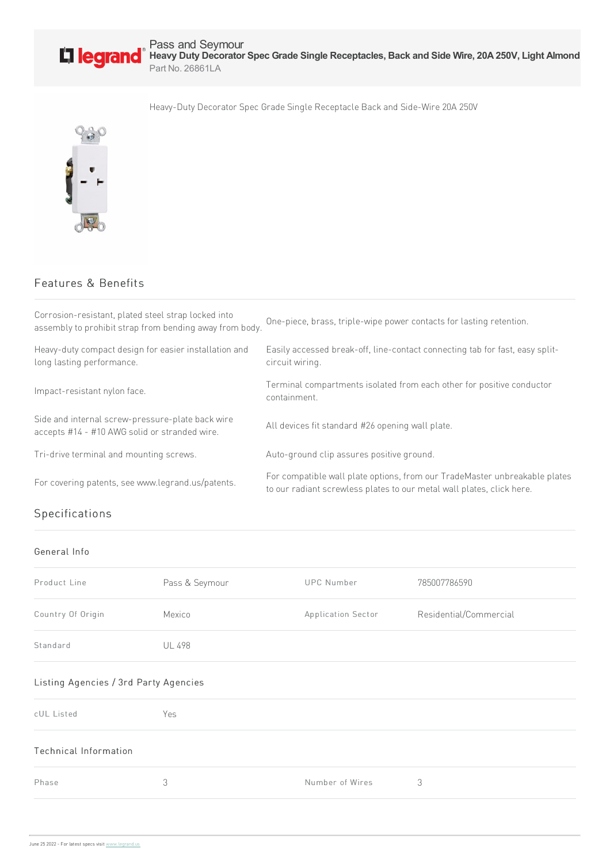

Heavy-Duty Decorator Spec Grade Single Receptacle Back and Side-Wire 20A 250V



## Features & Benefits

| Corrosion-resistant, plated steel strap locked into<br>assembly to prohibit strap from bending away from body. | One-piece, brass, triple-wipe power contacts for lasting retention.                                                                                 |
|----------------------------------------------------------------------------------------------------------------|-----------------------------------------------------------------------------------------------------------------------------------------------------|
| Heavy-duty compact design for easier installation and<br>long lasting performance.                             | Easily accessed break-off, line-contact connecting tab for fast, easy split-<br>circuit wiring.                                                     |
| Impact-resistant nylon face.                                                                                   | Terminal compartments isolated from each other for positive conductor<br>containment.                                                               |
| Side and internal screw-pressure-plate back wire<br>accepts #14 - #10 AWG solid or stranded wire.              | All devices fit standard #26 opening wall plate.                                                                                                    |
| Tri-drive terminal and mounting screws.                                                                        | Auto-ground clip assures positive ground.                                                                                                           |
| For covering patents, see www.legrand.us/patents.                                                              | For compatible wall plate options, from our TradeMaster unbreakable plates<br>to our radiant screwless plates to our metal wall plates, click here. |
|                                                                                                                |                                                                                                                                                     |

## Specifications

## General Info

| Product Line                          | Pass & Seymour | <b>UPC Number</b>  | 785007786590           |  |  |
|---------------------------------------|----------------|--------------------|------------------------|--|--|
| Country Of Origin                     | Mexico         | Application Sector | Residential/Commercial |  |  |
| Standard                              | <b>UL 498</b>  |                    |                        |  |  |
| Listing Agencies / 3rd Party Agencies |                |                    |                        |  |  |

## cUL Listed Yes Technical Information Phase 3 3 3 3 Number of Wires 3